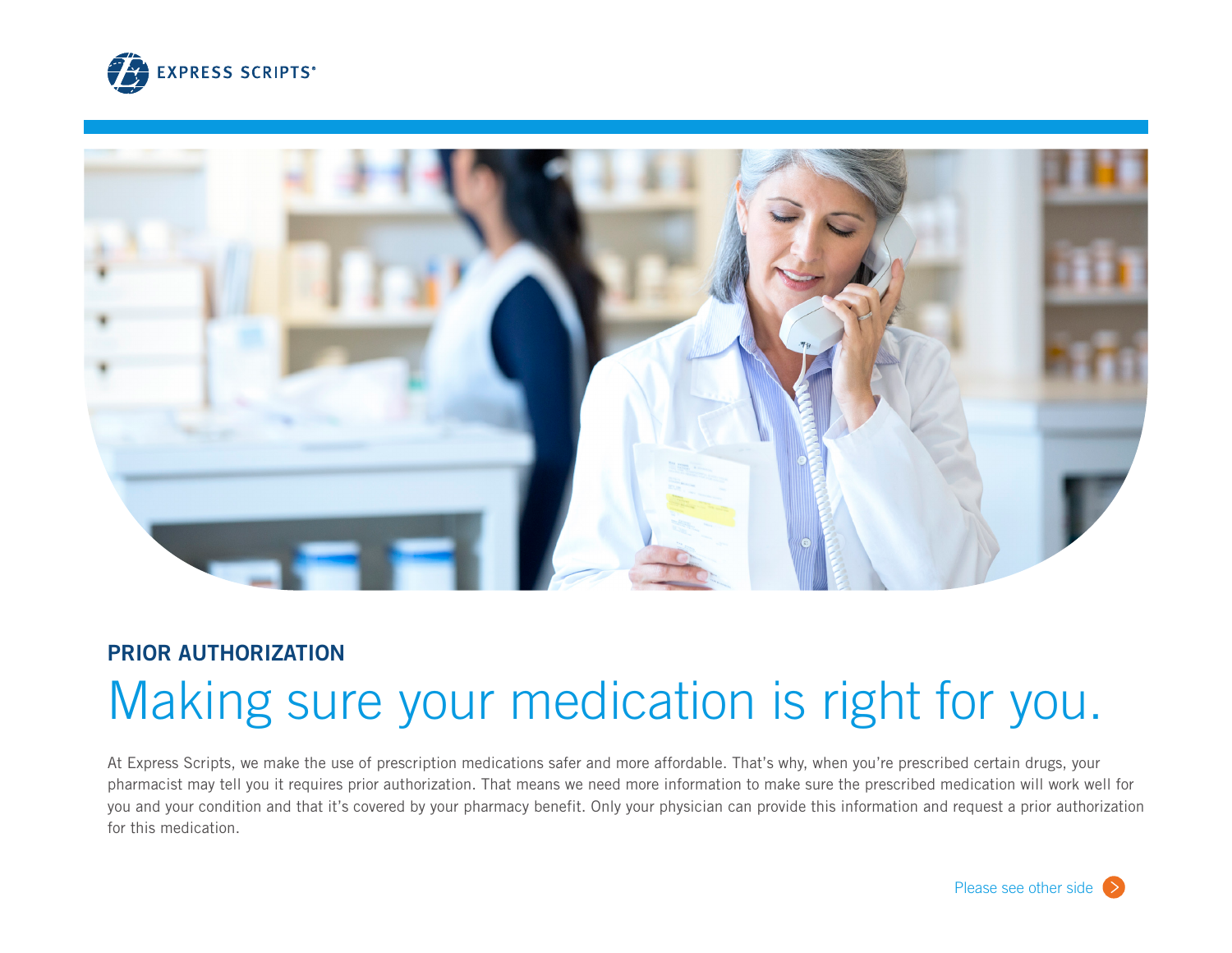



# **PRIOR AUTHORIZATION** Making sure your medication is right for you.

At Express Scripts, we make the use of prescription medications safer and more affordable. That's why, when you're prescribed certain drugs, your pharmacist may tell you it requires prior authorization. That means we need more information to make sure the prescribed medication will work well for you and your condition and that it's covered by your pharmacy benefit. Only your physician can provide this information and request a prior authorization for this medication.